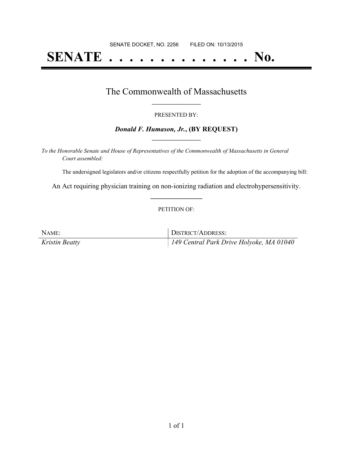# **SENATE . . . . . . . . . . . . . . No.**

### The Commonwealth of Massachusetts **\_\_\_\_\_\_\_\_\_\_\_\_\_\_\_\_\_**

#### PRESENTED BY:

#### *Donald F. Humason, Jr.***, (BY REQUEST) \_\_\_\_\_\_\_\_\_\_\_\_\_\_\_\_\_**

*To the Honorable Senate and House of Representatives of the Commonwealth of Massachusetts in General Court assembled:*

The undersigned legislators and/or citizens respectfully petition for the adoption of the accompanying bill:

An Act requiring physician training on non-ionizing radiation and electrohypersensitivity. **\_\_\_\_\_\_\_\_\_\_\_\_\_\_\_**

#### PETITION OF:

| NAME:          | DISTRICT/ADDRESS:                        |
|----------------|------------------------------------------|
| Kristin Beatty | 149 Central Park Drive Holyoke, MA 01040 |